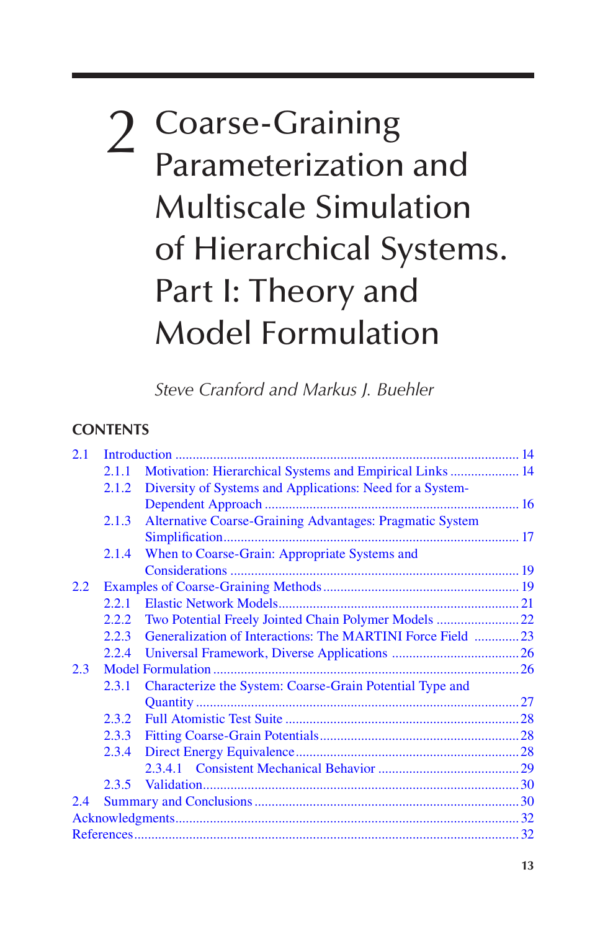# <span id="page-0-0"></span>2 Coarse-Graining Parameterization and Multiscale Simulation of Hierarchical Systems. Part I: Theory and Model Formulation

*Steve Cranford and Markus J. Buehler*

# **Contents**

| 2.1           |       |                                                                 |  |
|---------------|-------|-----------------------------------------------------------------|--|
|               | 2.1.1 | Motivation: Hierarchical Systems and Empirical Links  14        |  |
|               | 2.1.2 | Diversity of Systems and Applications: Need for a System-       |  |
|               |       |                                                                 |  |
|               | 2.1.3 | <b>Alternative Coarse-Graining Advantages: Pragmatic System</b> |  |
|               |       |                                                                 |  |
|               | 2.1.4 | When to Coarse-Grain: Appropriate Systems and                   |  |
|               |       |                                                                 |  |
| $2.2^{\circ}$ |       |                                                                 |  |
|               | 2.2.1 |                                                                 |  |
|               | 2.2.2 | Two Potential Freely Jointed Chain Polymer Models 22            |  |
|               | 2.2.3 | Generalization of Interactions: The MARTINI Force Field 23      |  |
|               | 2.2.4 |                                                                 |  |
| $2.3^{\circ}$ |       |                                                                 |  |
|               | 2.3.1 | Characterize the System: Coarse-Grain Potential Type and        |  |
|               |       |                                                                 |  |
|               | 2.3.2 |                                                                 |  |
|               | 2.3.3 |                                                                 |  |
|               | 2.3.4 |                                                                 |  |
|               |       |                                                                 |  |
|               | 2.3.5 |                                                                 |  |
| 2.4           |       |                                                                 |  |
|               |       |                                                                 |  |
|               |       |                                                                 |  |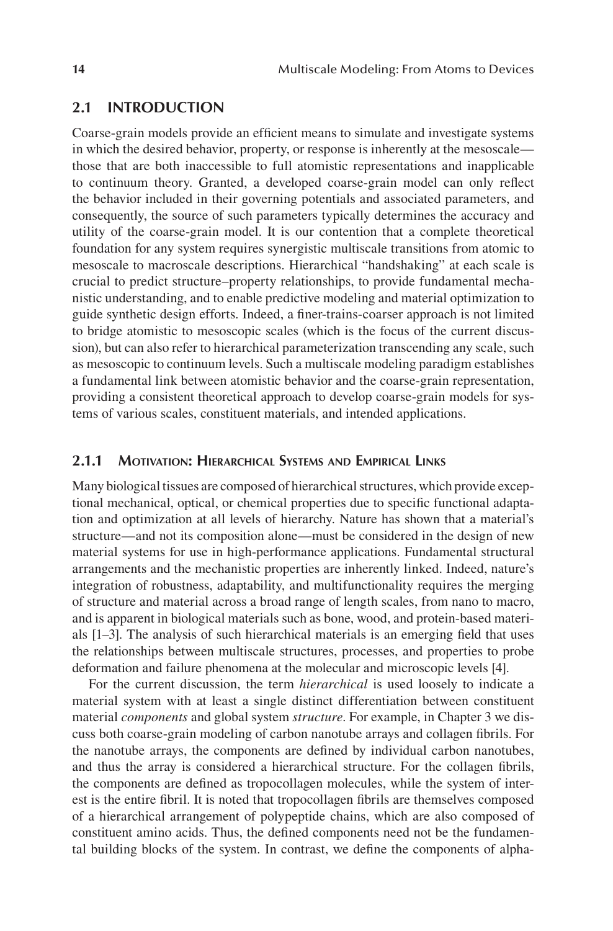#### <span id="page-1-0"></span>**2.1 [Introduction](#page-0-0)**

Coarse-grain models provide an efficient means to simulate and investigate systems in which the desired behavior, property, or response is inherently at the mesoscale those that are both inaccessible to full atomistic representations and inapplicable to continuum theory. Granted, a developed coarse-grain model can only reflect the behavior included in their governing potentials and associated parameters, and consequently, the source of such parameters typically determines the accuracy and utility of the coarse-grain model. It is our contention that a complete theoretical foundation for any system requires synergistic multiscale transitions from atomic to mesoscale to macroscale descriptions. Hierarchical "handshaking" at each scale is crucial to predict structure–property relationships, to provide fundamental mechanistic understanding, and to enable predictive modeling and material optimization to guide synthetic design efforts. Indeed, a finer-trains-coarser approach is not limited to bridge atomistic to mesoscopic scales (which is the focus of the current discussion), but can also refer to hierarchical parameterization transcending any scale, such as mesoscopic to continuum levels. Such a multiscale modeling paradigm establishes a fundamental link between atomistic behavior and the coarse-grain representation, providing a consistent theoretical approach to develop coarse-grain models for systems of various scales, constituent materials, and intended applications.

## **2.1.1 [Motivation: Hierarchical](#page-0-0) Systems and Empirical Links**

Many biological tissues are composed of hierarchical structures, which provide exceptional mechanical, optical, or chemical properties due to specific functional adaptation and optimization at all levels of hierarchy. Nature has shown that a material's structure—and not its composition alone—must be considered in the design of new material systems for use in high-performance applications. Fundamental structural arrangements and the mechanistic properties are inherently linked. Indeed, nature's integration of robustness, adaptability, and multifunctionality requires the merging of structure and material across a broad range of length scales, from nano to macro, and is apparent in biological materials such as bone, wood, and protein-based materials [1–3]. The analysis of such hierarchical materials is an emerging field that uses the relationships between multiscale structures, processes, and properties to probe deformation and failure phenomena at the molecular and microscopic levels [4].

For the current discussion, the term *hierarchical* is used loosely to indicate a material system with at least a single distinct differentiation between constituent material *components* and global system *structure*. For example, in Chapter 3 we discuss both coarse-grain modeling of carbon nanotube arrays and collagen fibrils. For the nanotube arrays, the components are defined by individual carbon nanotubes, and thus the array is considered a hierarchical structure. For the collagen fibrils, the components are defined as tropocollagen molecules, while the system of interest is the entire fibril. It is noted that tropocollagen fibrils are themselves composed of a hierarchical arrangement of polypeptide chains, which are also composed of constituent amino acids. Thus, the defined components need not be the fundamental building blocks of the system. In contrast, we define the components of alpha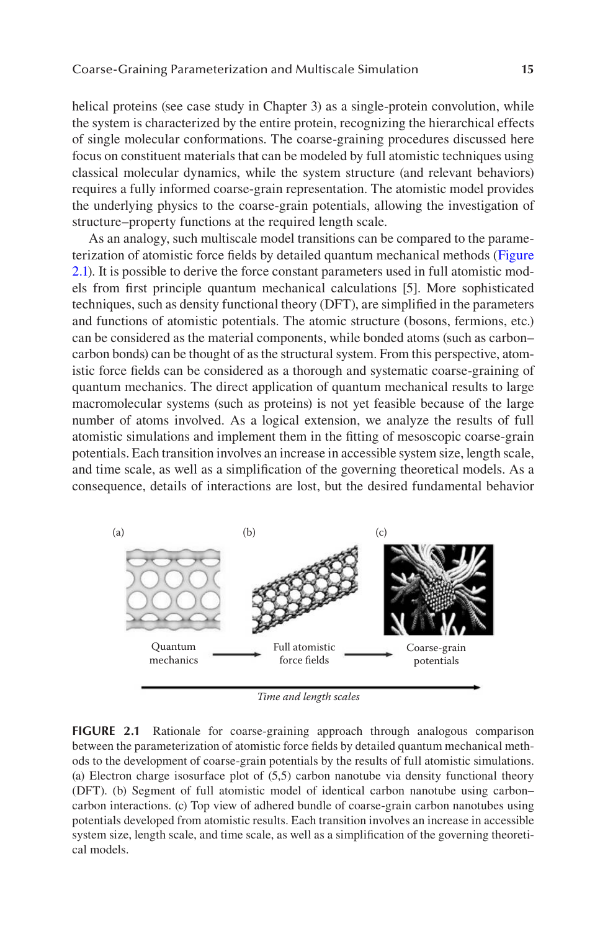helical proteins (see case study in Chapter 3) as a single-protein convolution, while the system is characterized by the entire protein, recognizing the hierarchical effects of single molecular conformations. The coarse-graining procedures discussed here focus on constituent materials that can be modeled by full atomistic techniques using classical molecular dynamics, while the system structure (and relevant behaviors) requires a fully informed coarse-grain representation. The atomistic model provides the underlying physics to the coarse-grain potentials, allowing the investigation of structure–property functions at the required length scale.

As an analogy, such multiscale model transitions can be compared to the parameterization of atomistic force fields by detailed quantum mechanical methods (Figure 2.1). It is possible to derive the force constant parameters used in full atomistic models from first principle quantum mechanical calculations [5]. More sophisticated techniques, such as density functional theory (DFT), are simplified in the parameters and functions of atomistic potentials. The atomic structure (bosons, fermions, etc.) can be considered as the material components, while bonded atoms (such as carbon– carbon bonds) can be thought of as the structural system. From this perspective, atomistic force fields can be considered as a thorough and systematic coarse-graining of quantum mechanics. The direct application of quantum mechanical results to large macromolecular systems (such as proteins) is not yet feasible because of the large number of atoms involved. As a logical extension, we analyze the results of full atomistic simulations and implement them in the fitting of mesoscopic coarse-grain potentials. Each transition involves an increase in accessible system size, length scale, and time scale, as well as a simplification of the governing theoretical models. As a consequence, details of interactions are lost, but the desired fundamental behavior



*Time and length scales*

**FIGURE 2.1** Rationale for coarse-graining approach through analogous comparison between the parameterization of atomistic force fields by detailed quantum mechanical methods to the development of coarse-grain potentials by the results of full atomistic simulations. (a) Electron charge isosurface plot of (5,5) carbon nanotube via density functional theory (DFT). (b) Segment of full atomistic model of identical carbon nanotube using carbon– carbon interactions. (c) Top view of adhered bundle of coarse-grain carbon nanotubes using potentials developed from atomistic results. Each transition involves an increase in accessible system size, length scale, and time scale, as well as a simplification of the governing theoretical models.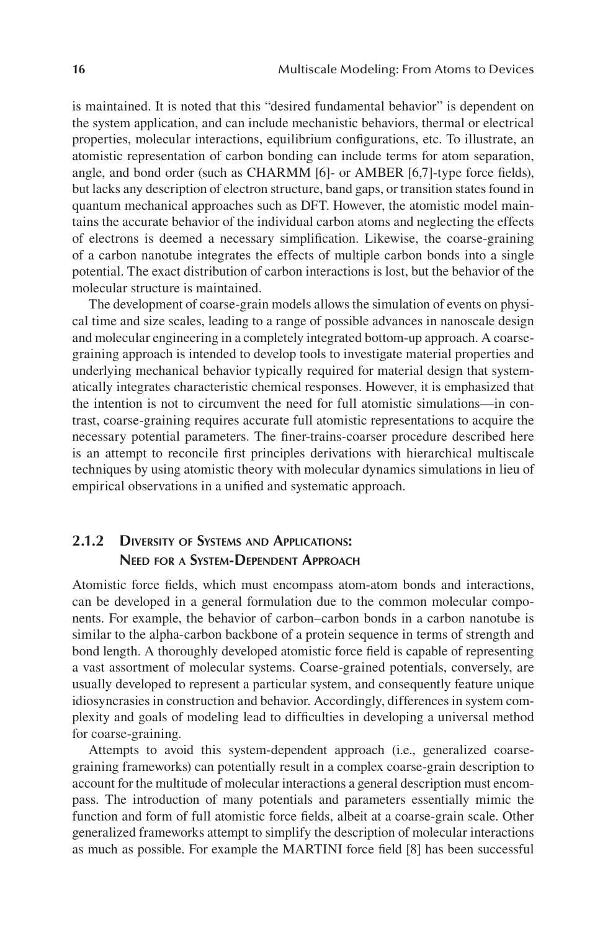<span id="page-3-0"></span>is maintained. It is noted that this "desired fundamental behavior" is dependent on the system application, and can include mechanistic behaviors, thermal or electrical properties, molecular interactions, equilibrium configurations, etc. To illustrate, an atomistic representation of carbon bonding can include terms for atom separation, angle, and bond order (such as CHARMM [6]- or AMBER [6,7]-type force fields), but lacks any description of electron structure, band gaps, or transition states found in quantum mechanical approaches such as DFT. However, the atomistic model maintains the accurate behavior of the individual carbon atoms and neglecting the effects of electrons is deemed a necessary simplification. Likewise, the coarse-graining of a carbon nanotube integrates the effects of multiple carbon bonds into a single potential. The exact distribution of carbon interactions is lost, but the behavior of the molecular structure is maintained.

The development of coarse-grain models allows the simulation of events on physical time and size scales, leading to a range of possible advances in nanoscale design and molecular engineering in a completely integrated bottom-up approach. A coarsegraining approach is intended to develop tools to investigate material properties and underlying mechanical behavior typically required for material design that systematically integrates characteristic chemical responses. However, it is emphasized that the intention is not to circumvent the need for full atomistic simulations—in contrast, coarse-graining requires accurate full atomistic representations to acquire the necessary potential parameters. The finer-trains-coarser procedure described here is an attempt to reconcile first principles derivations with hierarchical multiscale techniques by using atomistic theory with molecular dynamics simulations in lieu of empirical observations in a unified and systematic approach.

# **2.1.2 Diversity of Systems and Applications: Need for <sup>a</sup> [System-Dependent](#page-0-0) Approach**

Atomistic force fields, which must encompass atom-atom bonds and interactions, can be developed in a general formulation due to the common molecular components. For example, the behavior of carbon–carbon bonds in a carbon nanotube is similar to the alpha-carbon backbone of a protein sequence in terms of strength and bond length. A thoroughly developed atomistic force field is capable of representing a vast assortment of molecular systems. Coarse-grained potentials, conversely, are usually developed to represent a particular system, and consequently feature unique idiosyncrasies in construction and behavior. Accordingly, differences in system complexity and goals of modeling lead to difficulties in developing a universal method for coarse-graining.

Attempts to avoid this system-dependent approach (i.e., generalized coarsegraining frameworks) can potentially result in a complex coarse-grain description to account for the multitude of molecular interactions a general description must encompass. The introduction of many potentials and parameters essentially mimic the function and form of full atomistic force fields, albeit at a coarse-grain scale. Other generalized frameworks attempt to simplify the description of molecular interactions as much as possible. For example the MARTINI force field [8] has been successful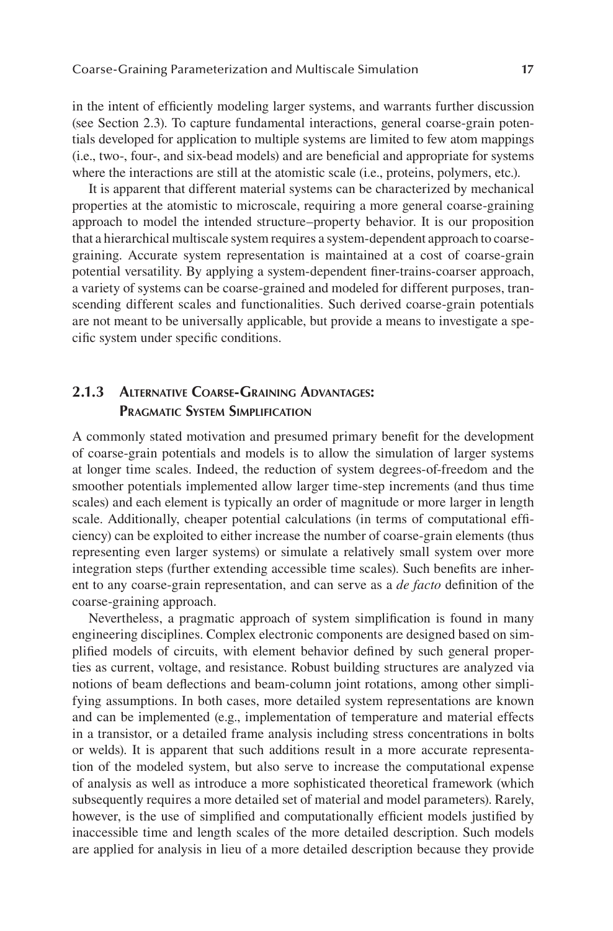<span id="page-4-0"></span>in the intent of efficiently modeling larger systems, and warrants further discussion (see Section 2.3). To capture fundamental interactions, general coarse-grain potentials developed for application to multiple systems are limited to few atom mappings (i.e., two-, four-, and six-bead models) and are beneficial and appropriate for systems where the interactions are still at the atomistic scale (i.e., proteins, polymers, etc.).

It is apparent that different material systems can be characterized by mechanical properties at the atomistic to microscale, requiring a more general coarse-graining approach to model the intended structure–property behavior. It is our proposition that a hierarchical multiscale system requires a system-dependent approach to coarsegraining. Accurate system representation is maintained at a cost of coarse-grain potential versatility. By applying a system-dependent finer-trains-coarser approach, a variety of systems can be coarse-grained and modeled for different purposes, transcending different scales and functionalities. Such derived coarse-grain potentials are not meant to be universally applicable, but provide a means to investigate a specific system under specific conditions.

# **[2.1.3 Alternative Coarse-Graining](#page-0-0) Advantages: Pragmatic System Simplification**

A commonly stated motivation and presumed primary benefit for the development of coarse-grain potentials and models is to allow the simulation of larger systems at longer time scales. Indeed, the reduction of system degrees-of-freedom and the smoother potentials implemented allow larger time-step increments (and thus time scales) and each element is typically an order of magnitude or more larger in length scale. Additionally, cheaper potential calculations (in terms of computational efficiency) can be exploited to either increase the number of coarse-grain elements (thus representing even larger systems) or simulate a relatively small system over more integration steps (further extending accessible time scales). Such benefits are inherent to any coarse-grain representation, and can serve as a *de facto* definition of the coarse-graining approach.

Nevertheless, a pragmatic approach of system simplification is found in many engineering disciplines. Complex electronic components are designed based on simplified models of circuits, with element behavior defined by such general properties as current, voltage, and resistance. Robust building structures are analyzed via notions of beam deflections and beam-column joint rotations, among other simplifying assumptions. In both cases, more detailed system representations are known and can be implemented (e.g., implementation of temperature and material effects in a transistor, or a detailed frame analysis including stress concentrations in bolts or welds). It is apparent that such additions result in a more accurate representation of the modeled system, but also serve to increase the computational expense of analysis as well as introduce a more sophisticated theoretical framework (which subsequently requires a more detailed set of material and model parameters). Rarely, however, is the use of simplified and computationally efficient models justified by inaccessible time and length scales of the more detailed description. Such models are applied for analysis in lieu of a more detailed description because they provide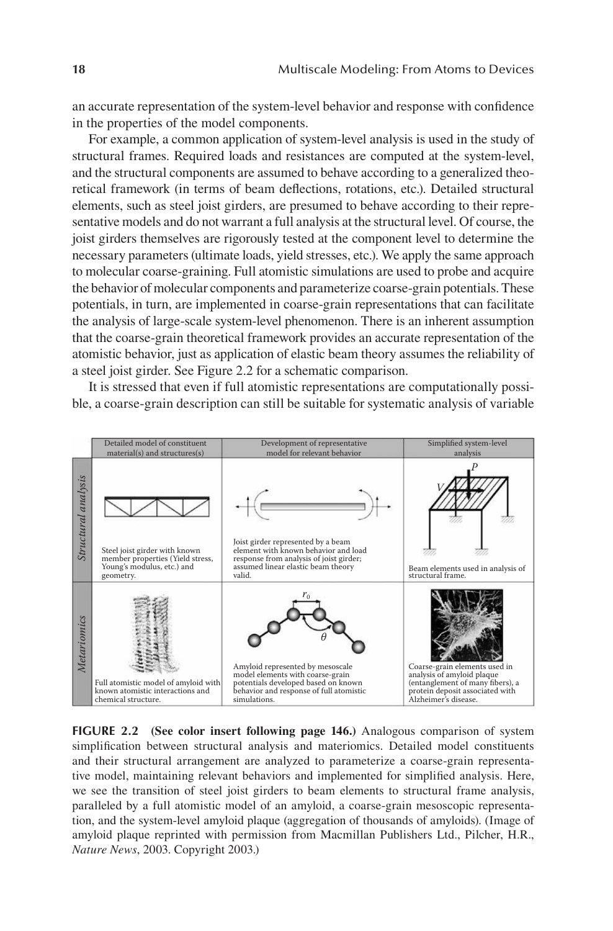an accurate representation of the system-level behavior and response with confidence in the properties of the model components.

For example, a common application of system-level analysis is used in the study of structural frames. Required loads and resistances are computed at the system-level, and the structural components are assumed to behave according to a generalized theoretical framework (in terms of beam deflections, rotations, etc.). Detailed structural elements, such as steel joist girders, are presumed to behave according to their representative models and do not warrant a full analysis at the structural level. Of course, the joist girders themselves are rigorously tested at the component level to determine the necessary parameters (ultimate loads, yield stresses, etc.). We apply the same approach to molecular coarse-graining. Full atomistic simulations are used to probe and acquire the behavior of molecular components and parameterize coarse-grain potentials. These potentials, in turn, are implemented in coarse-grain representations that can facilitate the analysis of large-scale system-level phenomenon. There is an inherent assumption that the coarse-grain theoretical framework provides an accurate representation of the atomistic behavior, just as application of elastic beam theory assumes the reliability of a steel joist girder. See Figure 2.2 for a schematic comparison.

It is stressed that even if full atomistic representations are computationally possible, a coarse-grain description can still be suitable for systematic analysis of variable



**FIGURE 2.2 (See color insert following page 146.)** Analogous comparison of system simplification between structural analysis and materiomics. Detailed model constituents and their structural arrangement are analyzed to parameterize a coarse-grain representative model, maintaining relevant behaviors and implemented for simplified analysis. Here, we see the transition of steel joist girders to beam elements to structural frame analysis, paralleled by a full atomistic model of an amyloid, a coarse-grain mesoscopic representation, and the system-level amyloid plaque (aggregation of thousands of amyloids). (Image of amyloid plaque reprinted with permission from Macmillan Publishers Ltd., Pilcher, H.R., *Nature News*, 2003. Copyright 2003.)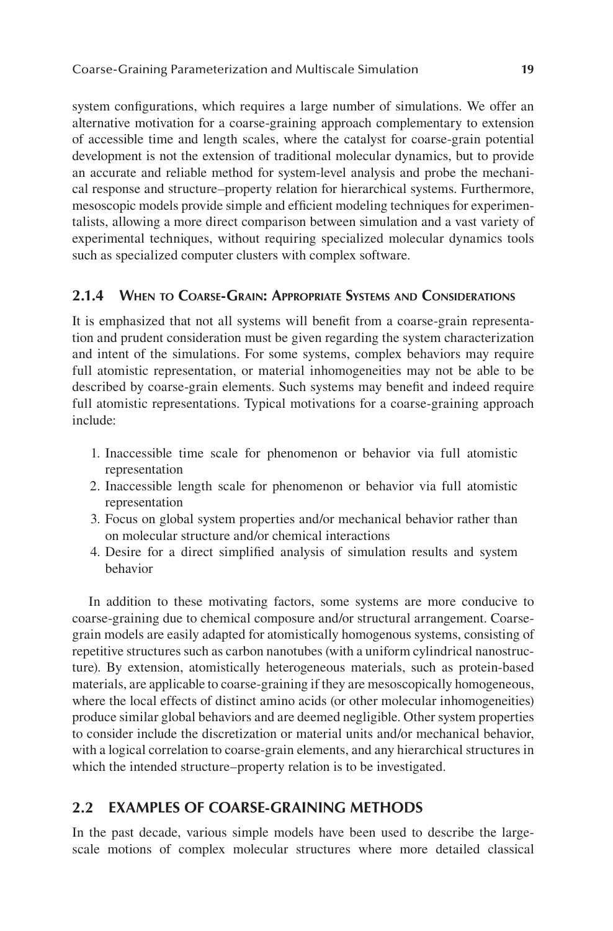<span id="page-6-0"></span>system configurations, which requires a large number of simulations. We offer an alternative motivation for a coarse-graining approach complementary to extension of accessible time and length scales, where the catalyst for coarse-grain potential development is not the extension of traditional molecular dynamics, but to provide an accurate and reliable method for system-level analysis and probe the mechanical response and structure–property relation for hierarchical systems. Furthermore, mesoscopic models provide simple and efficient modeling techniques for experimentalists, allowing a more direct comparison between simulation and a vast variety of experimental techniques, without requiring specialized molecular dynamics tools such as specialized computer clusters with complex software.

## **2.1.4 When [to Coarse-Grain: Appropriate](#page-0-0) Systems and Considerations**

It is emphasized that not all systems will benefit from a coarse-grain representation and prudent consideration must be given regarding the system characterization and intent of the simulations. For some systems, complex behaviors may require full atomistic representation, or material inhomogeneities may not be able to be described by coarse-grain elements. Such systems may benefit and indeed require full atomistic representations. Typical motivations for a coarse-graining approach include:

- 1. Inaccessible time scale for phenomenon or behavior via full atomistic representation
- 2. Inaccessible length scale for phenomenon or behavior via full atomistic representation
- 3. Focus on global system properties and/or mechanical behavior rather than on molecular structure and/or chemical interactions
- 4. Desire for a direct simplified analysis of simulation results and system behavior

In addition to these motivating factors, some systems are more conducive to coarse-graining due to chemical composure and/or structural arrangement. Coarsegrain models are easily adapted for atomistically homogenous systems, consisting of repetitive structures such as carbon nanotubes (with a uniform cylindrical nanostructure). By extension, atomistically heterogeneous materials, such as protein-based materials, are applicable to coarse-graining if they are mesoscopically homogeneous, where the local effects of distinct amino acids (or other molecular inhomogeneities) produce similar global behaviors and are deemed negligible. Other system properties to consider include the discretization or material units and/or mechanical behavior, with a logical correlation to coarse-grain elements, and any hierarchical structures in which the intended structure–property relation is to be investigated.

# **2.2 Examples of [Coarse-Graining Methods](#page-0-0)**

In the past decade, various simple models have been used to describe the largescale motions of complex molecular structures where more detailed classical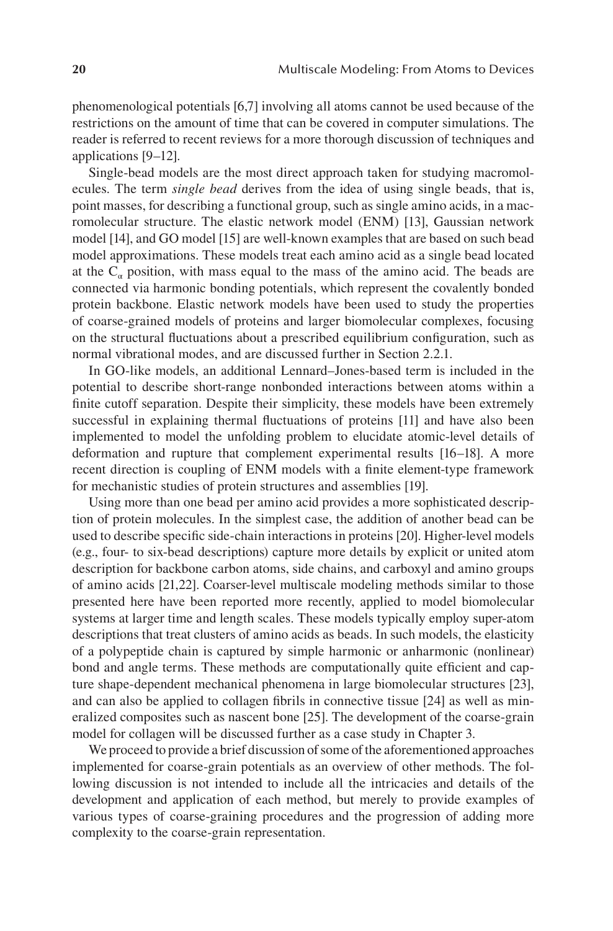phenomenological potentials [6,7] involving all atoms cannot be used because of the restrictions on the amount of time that can be covered in computer simulations. The reader is referred to recent reviews for a more thorough discussion of techniques and applications [9–12].

Single-bead models are the most direct approach taken for studying macromolecules. The term *single bead* derives from the idea of using single beads, that is, point masses, for describing a functional group, such as single amino acids, in a macromolecular structure. The elastic network model (ENM) [13], Gaussian network model [14], and GO model [15] are well-known examples that are based on such bead model approximations. These models treat each amino acid as a single bead located at the  $C_{\alpha}$  position, with mass equal to the mass of the amino acid. The beads are connected via harmonic bonding potentials, which represent the covalently bonded protein backbone. Elastic network models have been used to study the properties of coarse-grained models of proteins and larger biomolecular complexes, focusing on the structural fluctuations about a prescribed equilibrium configuration, such as normal vibrational modes, and are discussed further in Section 2.2.1.

In GO-like models, an additional Lennard–Jones-based term is included in the potential to describe short-range nonbonded interactions between atoms within a finite cutoff separation. Despite their simplicity, these models have been extremely successful in explaining thermal fluctuations of proteins [11] and have also been implemented to model the unfolding problem to elucidate atomic-level details of deformation and rupture that complement experimental results [16–18]. A more recent direction is coupling of ENM models with a finite element-type framework for mechanistic studies of protein structures and assemblies [19].

Using more than one bead per amino acid provides a more sophisticated description of protein molecules. In the simplest case, the addition of another bead can be used to describe specific side-chain interactions in proteins [20]. Higher-level models (e.g., four- to six-bead descriptions) capture more details by explicit or united atom description for backbone carbon atoms, side chains, and carboxyl and amino groups of amino acids [21,22]. Coarser-level multiscale modeling methods similar to those presented here have been reported more recently, applied to model biomolecular systems at larger time and length scales. These models typically employ super-atom descriptions that treat clusters of amino acids as beads. In such models, the elasticity of a polypeptide chain is captured by simple harmonic or anharmonic (nonlinear) bond and angle terms. These methods are computationally quite efficient and capture shape-dependent mechanical phenomena in large biomolecular structures [23], and can also be applied to collagen fibrils in connective tissue [24] as well as mineralized composites such as nascent bone [25]. The development of the coarse-grain model for collagen will be discussed further as a case study in Chapter 3.

We proceed to provide a brief discussion of some of the aforementioned approaches implemented for coarse-grain potentials as an overview of other methods. The following discussion is not intended to include all the intricacies and details of the development and application of each method, but merely to provide examples of various types of coarse-graining procedures and the progression of adding more complexity to the coarse-grain representation.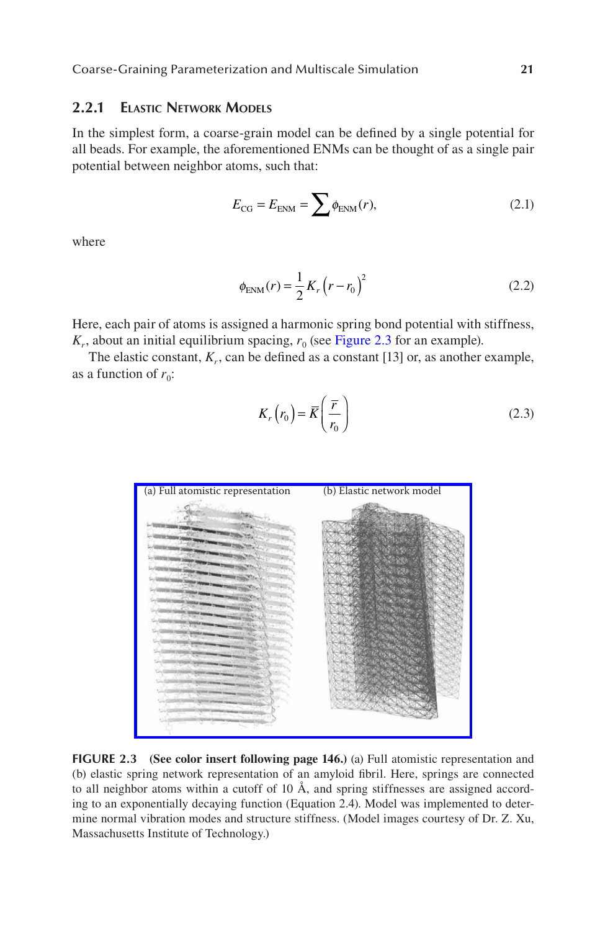#### <span id="page-8-0"></span>**2.2.1 Elastic [Network Models](#page-0-0)**

In the simplest form, a coarse-grain model can be defined by a single potential for all beads. For example, the aforementioned ENMs can be thought of as a single pair potential between neighbor atoms, such that:

$$
E_{\text{CG}} = E_{\text{EMM}} = \sum \phi_{\text{ENM}}(r),\tag{2.1}
$$

where

$$
\phi_{\text{EMM}}(r) = \frac{1}{2} K_r (r - r_0)^2
$$
\n(2.2)

Here, each pair of atoms is assigned a harmonic spring bond potential with stiffness,  $K_r$ , about an initial equilibrium spacing,  $r_0$  (see Figure 2.3 for an example).

The elastic constant,  $K_r$ , can be defined as a constant [13] or, as another example, as a function of  $r_0$ :

$$
K_r(r_0) = \bar{K} \left( \frac{\bar{r}}{r_0} \right) \tag{2.3}
$$



**FIGURE 2.3** (See color insert following page 146.) (a) Full atomistic representation and (b) elastic spring network representation of an amyloid fibril. Here, springs are connected to all neighbor atoms within a cutoff of 10 Å, and spring stiffnesses are assigned according to an exponentially decaying function (Equation 2.4). Model was implemented to determine normal vibration modes and structure stiffness. (Model images courtesy of Dr. Z. Xu, Massachusetts Institute of Technology.)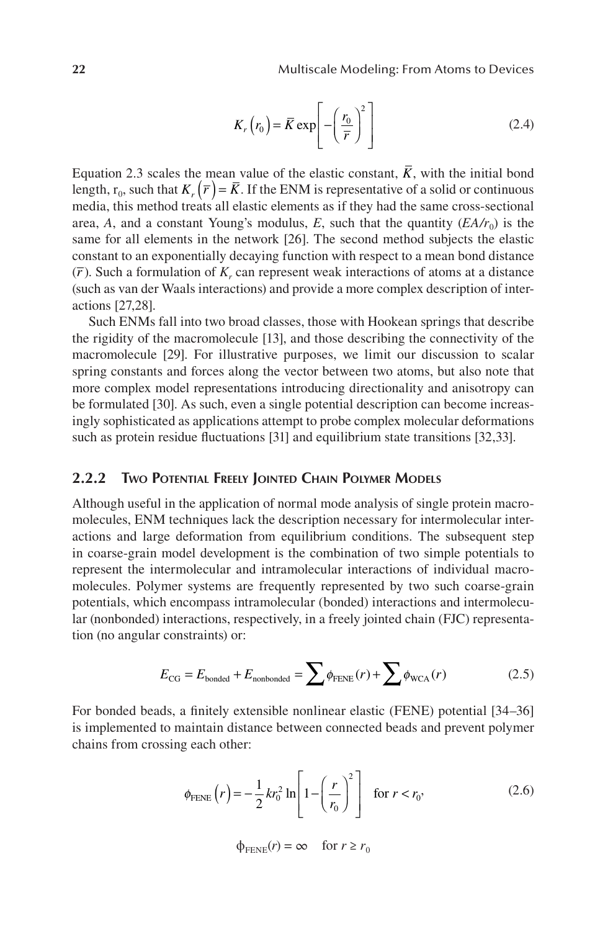<span id="page-9-0"></span>**22** Multiscale Modeling: From Atoms to Devices

$$
K_r(r_0) = \overline{K} \exp\left[-\left(\frac{r_0}{\overline{r}}\right)^2\right]
$$
 (2.4)

Equation 2.3 scales the mean value of the elastic constant,  $\overline{K}$ , with the initial bond length,  $r_0$ , such that  $K_r(\overline{r}) = \overline{K}$ . If the ENM is representative of a solid or continuous media, this method treats all elastic elements as if they had the same cross-sectional area, A, and a constant Young's modulus, E, such that the quantity  $(EA/r_0)$  is the same for all elements in the network [26]. The second method subjects the elastic constant to an exponentially decaying function with respect to a mean bond distance  $(\bar{r})$ . Such a formulation of  $K_r$  can represent weak interactions of atoms at a distance (such as van der Waals interactions) and provide a more complex description of interactions [27,28].

Such ENMs fall into two broad classes, those with Hookean springs that describe the rigidity of the macromolecule [13], and those describing the connectivity of the macromolecule [29]. For illustrative purposes, we limit our discussion to scalar spring constants and forces along the vector between two atoms, but also note that more complex model representations introducing directionality and anisotropy can be formulated [30]. As such, even a single potential description can become increasingly sophisticated as applications attempt to probe complex molecular deformations such as protein residue fluctuations [31] and equilibrium state transitions [32,33].

#### **[2.2.2 Two Potential Freely Jointed Chain Polymer Models](#page-0-0)**

Although useful in the application of normal mode analysis of single protein macromolecules, ENM techniques lack the description necessary for intermolecular interactions and large deformation from equilibrium conditions. The subsequent step in coarse-grain model development is the combination of two simple potentials to represent the intermolecular and intramolecular interactions of individual macromolecules. Polymer systems are frequently represented by two such coarse-grain potentials, which encompass intramolecular (bonded) interactions and intermolecular (nonbonded) interactions, respectively, in a freely jointed chain (FJC) representation (no angular constraints) or:

$$
E_{\text{CG}} = E_{\text{bonded}} + E_{\text{nonbonded}} = \sum \phi_{\text{FENE}}(r) + \sum \phi_{\text{WCA}}(r)
$$
 (2.5)

For bonded beads, a finitely extensible nonlinear elastic (FENE) potential [34–36] is implemented to maintain distance between connected beads and prevent polymer chains from crossing each other:

$$
\phi_{\text{FENE}}(r) = -\frac{1}{2}kr_0^2 \ln \left[1 - \left(\frac{r}{r_0}\right)^2\right] \quad \text{for } r < r_0,\tag{2.6}
$$

$$
\phi_{\text{FENE}}(r) = \infty \quad \text{for } r \ge r_0
$$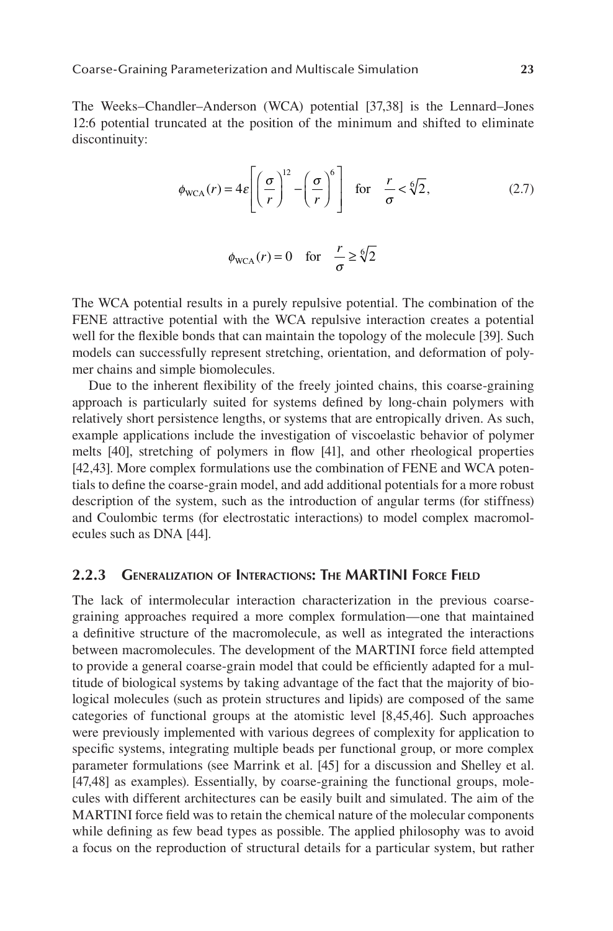<span id="page-10-0"></span>The Weeks–Chandler–Anderson (WCA) potential [37,38] is the Lennard–Jones 12:6 potential truncated at the position of the minimum and shifted to eliminate discontinuity:

$$
\phi_{\text{WCA}}(r) = 4\varepsilon \left[ \left( \frac{\sigma}{r} \right)^{12} - \left( \frac{\sigma}{r} \right)^6 \right] \text{ for } \frac{r}{\sigma} < 2\sqrt{2},
$$
 (2.7)

$$
\phi_{\text{WCA}}(r) = 0
$$
 for  $\frac{r}{\sigma} \ge \sqrt[6]{2}$ 

The WCA potential results in a purely repulsive potential. The combination of the FENE attractive potential with the WCA repulsive interaction creates a potential well for the flexible bonds that can maintain the topology of the molecule [39]. Such models can successfully represent stretching, orientation, and deformation of polymer chains and simple biomolecules.

Due to the inherent flexibility of the freely jointed chains, this coarse-graining approach is particularly suited for systems defined by long-chain polymers with relatively short persistence lengths, or systems that are entropically driven. As such, example applications include the investigation of viscoelastic behavior of polymer melts [40], stretching of polymers in flow [41], and other rheological properties [42,43]. More complex formulations use the combination of FENE and WCA potentials to define the coarse-grain model, and add additional potentials for a more robust description of the system, such as the introduction of angular terms (for stiffness) and Coulombic terms (for electrostatic interactions) to model complex macromolecules such as DNA [44].

#### **2.2.3 Generalization of [Interactions: The MARTINI Force Field](#page-0-0)**

The lack of intermolecular interaction characterization in the previous coarsegraining approaches required a more complex formulation—one that maintained a definitive structure of the macromolecule, as well as integrated the interactions between macromolecules. The development of the MARTINI force field attempted to provide a general coarse-grain model that could be efficiently adapted for a multitude of biological systems by taking advantage of the fact that the majority of biological molecules (such as protein structures and lipids) are composed of the same categories of functional groups at the atomistic level [8,45,46]. Such approaches were previously implemented with various degrees of complexity for application to specific systems, integrating multiple beads per functional group, or more complex parameter formulations (see Marrink et al. [45] for a discussion and Shelley et al. [47,48] as examples). Essentially, by coarse-graining the functional groups, molecules with different architectures can be easily built and simulated. The aim of the MARTINI force field was to retain the chemical nature of the molecular components while defining as few bead types as possible. The applied philosophy was to avoid a focus on the reproduction of structural details for a particular system, but rather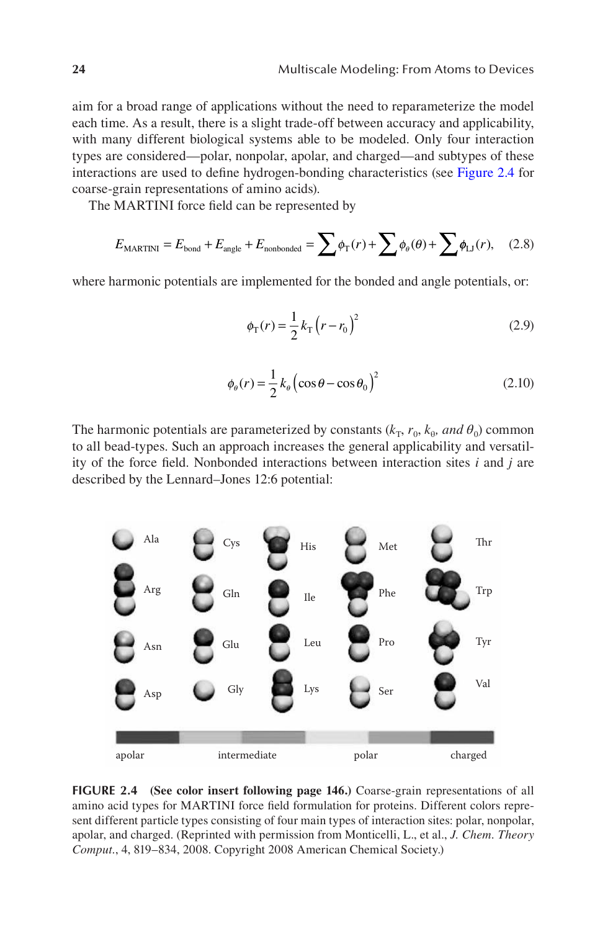aim for a broad range of applications without the need to reparameterize the model each time. As a result, there is a slight trade-off between accuracy and applicability, with many different biological systems able to be modeled. Only four interaction types are considered—polar, nonpolar, apolar, and charged—and subtypes of these interactions are used to define hydrogen-bonding characteristics (see Figure 2.4 for coarse-grain representations of amino acids).

The MARTINI force field can be represented by

$$
E_{\text{MARTINI}} = E_{\text{bond}} + E_{\text{angle}} + E_{\text{nonbonded}} = \sum \phi_{\text{T}}(r) + \sum \phi_{\theta}(\theta) + \sum \phi_{\text{LJ}}(r), \quad (2.8)
$$

where harmonic potentials are implemented for the bonded and angle potentials, or:

$$
\phi_{\rm T}(r) = \frac{1}{2} k_{\rm T} (r - r_0)^2
$$
\n(2.9)

$$
\phi_{\theta}(r) = \frac{1}{2} k_{\theta} \left( \cos \theta - \cos \theta_0 \right)^2 \tag{2.10}
$$

The harmonic potentials are parameterized by constants ( $k<sub>T</sub>$ ,  $r<sub>0</sub>$ ,  $k<sub>θ</sub>$ , and  $\theta<sub>0</sub>$ ) common to all bead-types. Such an approach increases the general applicability and versatility of the force field. Nonbonded interactions between interaction sites *i* and *j* are described by the Lennard–Jones 12:6 potential:



**FIGURE 2.4 (See color insert following page 146.)** Coarse-grain representations of all amino acid types for MARTINI force field formulation for proteins. Different colors represent different particle types consisting of four main types of interaction sites: polar, nonpolar, apolar, and charged. (Reprinted with permission from Monticelli, L., et al., *J. Chem. Theory Comput.*, 4, 819–834, 2008. Copyright 2008 American Chemical Society.)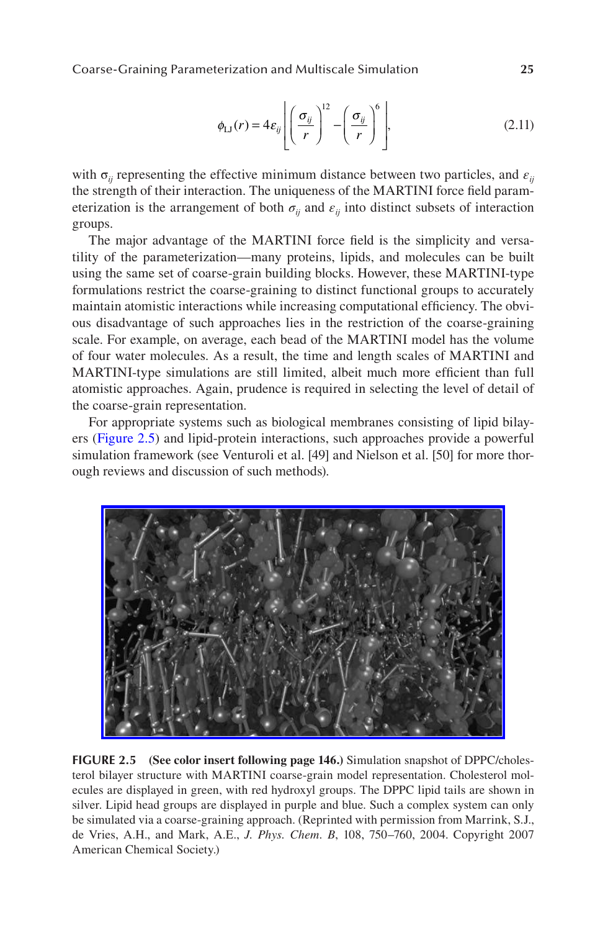$$
\phi_{\text{LJ}}(r) = 4\varepsilon_{ij} \left[ \left( \frac{\sigma_{ij}}{r} \right)^{12} - \left( \frac{\sigma_{ij}}{r} \right)^{6} \right],\tag{2.11}
$$

with  $\sigma_{ii}$  representing the effective minimum distance between two particles, and  $\varepsilon_{ii}$ the strength of their interaction. The uniqueness of the MARTINI force field parameterization is the arrangement of both  $\sigma_{ii}$  and  $\varepsilon_{jj}$  into distinct subsets of interaction groups.

The major advantage of the MARTINI force field is the simplicity and versatility of the parameterization—many proteins, lipids, and molecules can be built using the same set of coarse-grain building blocks. However, these MARTINI-type formulations restrict the coarse-graining to distinct functional groups to accurately maintain atomistic interactions while increasing computational efficiency. The obvious disadvantage of such approaches lies in the restriction of the coarse-graining scale. For example, on average, each bead of the MARTINI model has the volume of four water molecules. As a result, the time and length scales of MARTINI and MARTINI-type simulations are still limited, albeit much more efficient than full atomistic approaches. Again, prudence is required in selecting the level of detail of the coarse-grain representation.

For appropriate systems such as biological membranes consisting of lipid bilayers (Figure 2.5) and lipid-protein interactions, such approaches provide a powerful simulation framework (see Venturoli et al. [49] and Nielson et al. [50] for more thorough reviews and discussion of such methods).



**FIGURE 2.5** (See color insert following page 146.) Simulation snapshot of DPPC/cholesterol bilayer structure with MARTINI coarse-grain model representation. Cholesterol molecules are displayed in green, with red hydroxyl groups. The DPPC lipid tails are shown in silver. Lipid head groups are displayed in purple and blue. Such a complex system can only be simulated via a coarse-graining approach. (Reprinted with permission from Marrink, S.J., de Vries, A.H., and Mark, A.E., *J. Phys. Chem. B*, 108, 750–760, 2004. Copyright 2007 American Chemical Society.)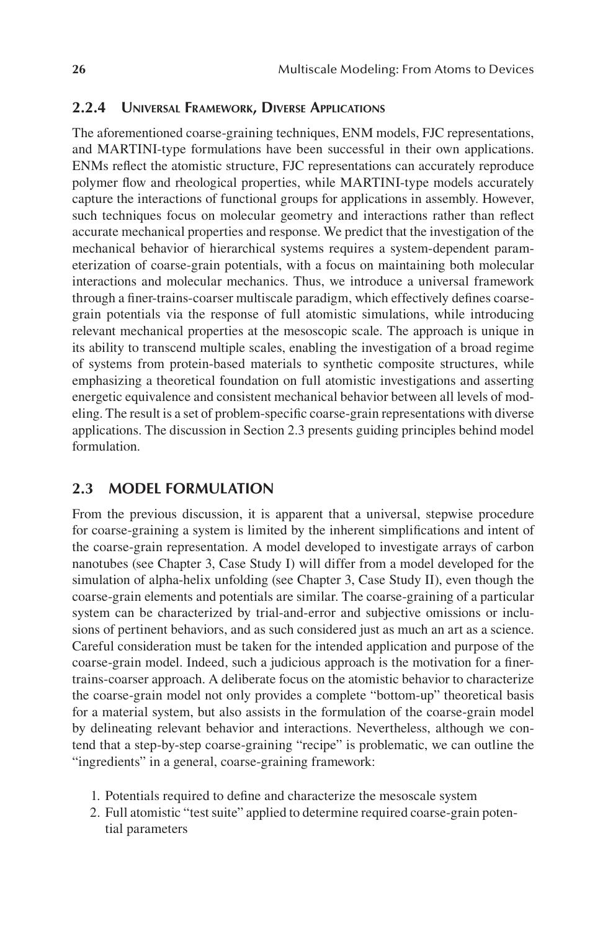#### <span id="page-13-0"></span>**[2.2.4 Universal Framework, Diverse](#page-0-0) Applications**

The aforementioned coarse-graining techniques, ENM models, FJC representations, and MARTINI-type formulations have been successful in their own applications. ENMs reflect the atomistic structure, FJC representations can accurately reproduce polymer flow and rheological properties, while MARTINI-type models accurately capture the interactions of functional groups for applications in assembly. However, such techniques focus on molecular geometry and interactions rather than reflect accurate mechanical properties and response. We predict that the investigation of the mechanical behavior of hierarchical systems requires a system-dependent parameterization of coarse-grain potentials, with a focus on maintaining both molecular interactions and molecular mechanics. Thus, we introduce a universal framework through a finer-trains-coarser multiscale paradigm, which effectively defines coarsegrain potentials via the response of full atomistic simulations, while introducing relevant mechanical properties at the mesoscopic scale. The approach is unique in its ability to transcend multiple scales, enabling the investigation of a broad regime of systems from protein-based materials to synthetic composite structures, while emphasizing a theoretical foundation on full atomistic investigations and asserting energetic equivalence and consistent mechanical behavior between all levels of modeling. The result is a set of problem-specific coarse-grain representations with diverse applications. The discussion in Section 2.3 presents guiding principles behind model formulation.

## **2.3 [Model Formulation](#page-0-0)**

From the previous discussion, it is apparent that a universal, stepwise procedure for coarse-graining a system is limited by the inherent simplifications and intent of the coarse-grain representation. A model developed to investigate arrays of carbon nanotubes (see Chapter 3, Case Study I) will differ from a model developed for the simulation of alpha-helix unfolding (see Chapter 3, Case Study II), even though the coarse-grain elements and potentials are similar. The coarse-graining of a particular system can be characterized by trial-and-error and subjective omissions or inclusions of pertinent behaviors, and as such considered just as much an art as a science. Careful consideration must be taken for the intended application and purpose of the coarse-grain model. Indeed, such a judicious approach is the motivation for a finertrains-coarser approach. A deliberate focus on the atomistic behavior to characterize the coarse-grain model not only provides a complete "bottom-up" theoretical basis for a material system, but also assists in the formulation of the coarse-grain model by delineating relevant behavior and interactions. Nevertheless, although we contend that a step-by-step coarse-graining "recipe" is problematic, we can outline the "ingredients" in a general, coarse-graining framework:

- 1. Potentials required to define and characterize the mesoscale system
- 2. Full atomistic "test suite" applied to determine required coarse-grain potential parameters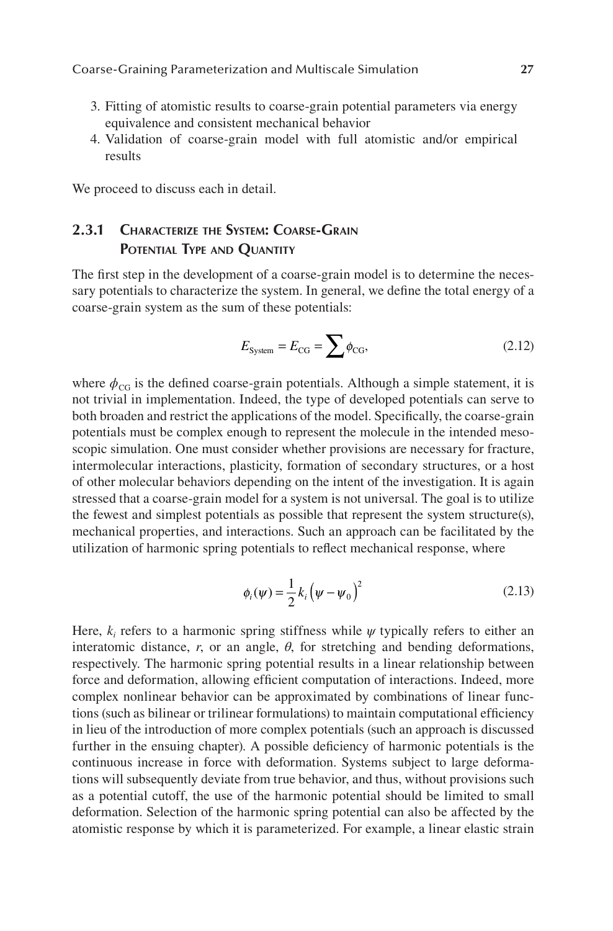- <span id="page-14-0"></span>3. Fitting of atomistic results to coarse-grain potential parameters via energy equivalence and consistent mechanical behavior
- 4. Validation of coarse-grain model with full atomistic and/or empirical results

We proceed to discuss each in detail.

# **2.3.1 Characterize the [System: Coarse-Grain](#page-0-0) Potential Type and Quantity**

The first step in the development of a coarse-grain model is to determine the necessary potentials to characterize the system. In general, we define the total energy of a coarse-grain system as the sum of these potentials:

$$
E_{\text{System}} = E_{\text{CG}} = \sum \phi_{\text{CG}}, \tag{2.12}
$$

where  $\phi_{CG}$  is the defined coarse-grain potentials. Although a simple statement, it is not trivial in implementation. Indeed, the type of developed potentials can serve to both broaden and restrict the applications of the model. Specifically, the coarse-grain potentials must be complex enough to represent the molecule in the intended mesoscopic simulation. One must consider whether provisions are necessary for fracture, intermolecular interactions, plasticity, formation of secondary structures, or a host of other molecular behaviors depending on the intent of the investigation. It is again stressed that a coarse-grain model for a system is not universal. The goal is to utilize the fewest and simplest potentials as possible that represent the system structure(s), mechanical properties, and interactions. Such an approach can be facilitated by the utilization of harmonic spring potentials to reflect mechanical response, where

$$
\phi_i(\psi) = \frac{1}{2} k_i \left(\psi - \psi_0\right)^2 \tag{2.13}
$$

Here,  $k_i$  refers to a harmonic spring stiffness while  $\psi$  typically refers to either an interatomic distance,  $r$ , or an angle,  $\theta$ , for stretching and bending deformations, respectively. The harmonic spring potential results in a linear relationship between force and deformation, allowing efficient computation of interactions. Indeed, more complex nonlinear behavior can be approximated by combinations of linear functions (such as bilinear or trilinear formulations) to maintain computational efficiency in lieu of the introduction of more complex potentials (such an approach is discussed further in the ensuing chapter). A possible deficiency of harmonic potentials is the continuous increase in force with deformation. Systems subject to large deformations will subsequently deviate from true behavior, and thus, without provisions such as a potential cutoff, the use of the harmonic potential should be limited to small deformation. Selection of the harmonic spring potential can also be affected by the atomistic response by which it is parameterized. For example, a linear elastic strain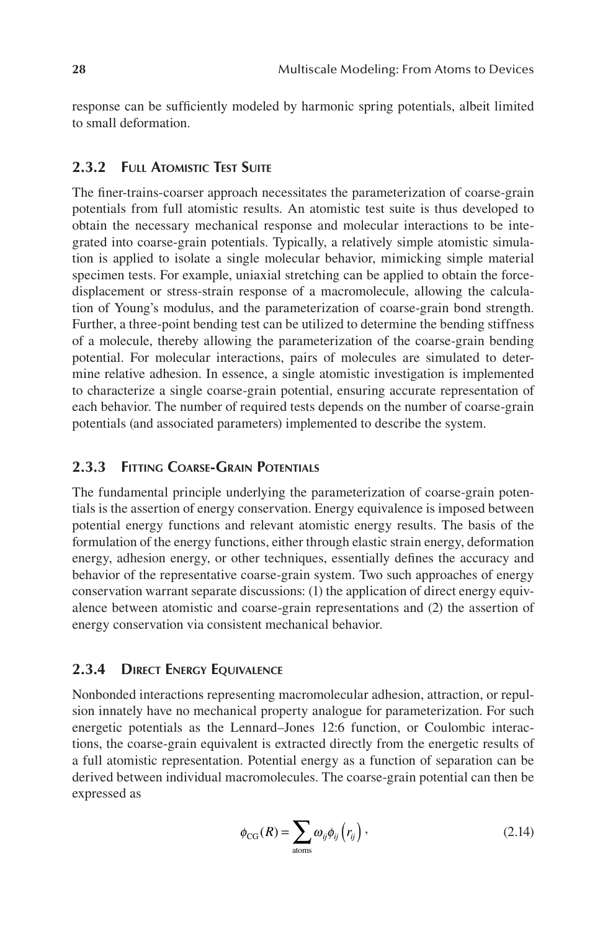<span id="page-15-0"></span>response can be sufficiently modeled by harmonic spring potentials, albeit limited to small deformation.

#### **2.3.2 Full [Atomistic](#page-0-0) Test Suite**

The finer-trains-coarser approach necessitates the parameterization of coarse-grain potentials from full atomistic results. An atomistic test suite is thus developed to obtain the necessary mechanical response and molecular interactions to be integrated into coarse-grain potentials. Typically, a relatively simple atomistic simulation is applied to isolate a single molecular behavior, mimicking simple material specimen tests. For example, uniaxial stretching can be applied to obtain the forcedisplacement or stress-strain response of a macromolecule, allowing the calculation of Young's modulus, and the parameterization of coarse-grain bond strength. Further, a three-point bending test can be utilized to determine the bending stiffness of a molecule, thereby allowing the parameterization of the coarse-grain bending potential. For molecular interactions, pairs of molecules are simulated to determine relative adhesion. In essence, a single atomistic investigation is implemented to characterize a single coarse-grain potential, ensuring accurate representation of each behavior. The number of required tests depends on the number of coarse-grain potentials (and associated parameters) implemented to describe the system.

## **2.3.3 [Fitting Coarse-Grain Potentials](#page-0-0)**

The fundamental principle underlying the parameterization of coarse-grain potentials is the assertion of energy conservation. Energy equivalence is imposed between potential energy functions and relevant atomistic energy results. The basis of the formulation of the energy functions, either through elastic strain energy, deformation energy, adhesion energy, or other techniques, essentially defines the accuracy and behavior of the representative coarse-grain system. Two such approaches of energy conservation warrant separate discussions: (1) the application of direct energy equivalence between atomistic and coarse-grain representations and (2) the assertion of energy conservation via consistent mechanical behavior.

## **[2.3.4 Direct](#page-0-0) Energy Equivalence**

Nonbonded interactions representing macromolecular adhesion, attraction, or repulsion innately have no mechanical property analogue for parameterization. For such energetic potentials as the Lennard–Jones 12:6 function, or Coulombic interactions, the coarse-grain equivalent is extracted directly from the energetic results of a full atomistic representation. Potential energy as a function of separation can be derived between individual macromolecules. The coarse-grain potential can then be expressed as

$$
\phi_{CG}(R) = \sum_{\text{atoms}} \omega_{ij} \phi_{ij} \left( r_{ij} \right),\tag{2.14}
$$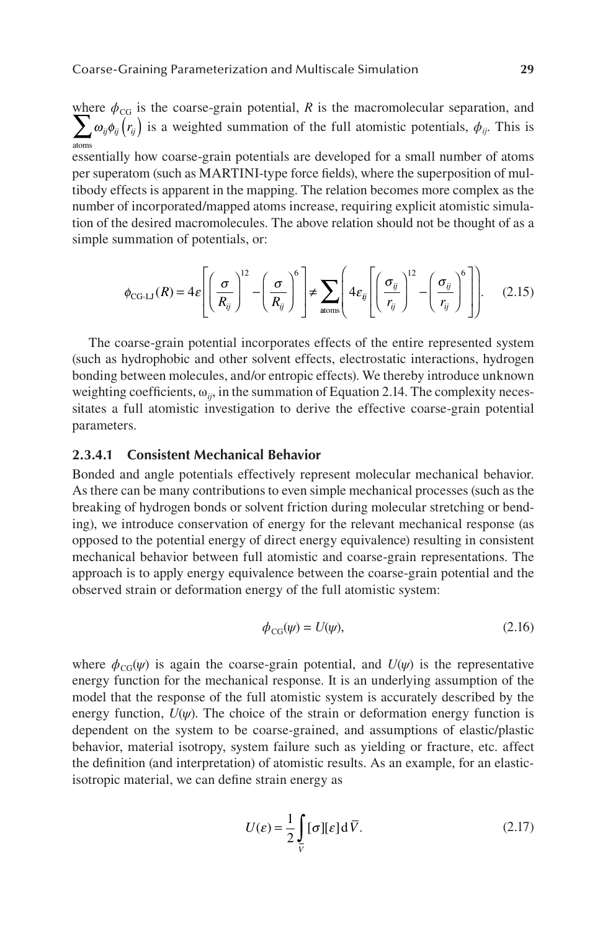<span id="page-16-0"></span>where  $\phi_{CG}$  is the coarse-grain potential, *R* is the macromolecular separation, and  $\sum \omega_{ij} \phi_{ij} (\vec{r}_{ij})$  is a weighted summation of the full atomistic potentials,  $\phi_{ij}$ . This is atoms

essentially how coarse-grain potentials are developed for a small number of atoms per superatom (such as MARTINI-type force fields), where the superposition of multibody effects is apparent in the mapping. The relation becomes more complex as the number of incorporated/mapped atoms increase, requiring explicit atomistic simulation of the desired macromolecules. The above relation should not be thought of as a simple summation of potentials, or:

$$
\phi_{\text{CG-LJ}}(R) = 4\varepsilon \left[ \left( \frac{\sigma}{R_{ij}} \right)^{12} - \left( \frac{\sigma}{R_{ij}} \right)^{6} \right] \neq \sum_{\text{atoms}} \left( 4\varepsilon_{ij} \left[ \left( \frac{\sigma_{ij}}{r_{ij}} \right)^{12} - \left( \frac{\sigma_{ij}}{r_{ij}} \right)^{6} \right] \right). \tag{2.15}
$$

The coarse-grain potential incorporates effects of the entire represented system (such as hydrophobic and other solvent effects, electrostatic interactions, hydrogen bonding between molecules, and/or entropic effects). We thereby introduce unknown weighting coefficients,  $\omega_{ij}$ , in the summation of Equation 2.14. The complexity necessitates a full atomistic investigation to derive the effective coarse-grain potential parameters.

#### **[2.3.4.1 Consistent Mechanical Behavior](#page-0-0)**

Bonded and angle potentials effectively represent molecular mechanical behavior. As there can be many contributions to even simple mechanical processes (such as the breaking of hydrogen bonds or solvent friction during molecular stretching or bending), we introduce conservation of energy for the relevant mechanical response (as opposed to the potential energy of direct energy equivalence) resulting in consistent mechanical behavior between full atomistic and coarse-grain representations. The approach is to apply energy equivalence between the coarse-grain potential and the observed strain or deformation energy of the full atomistic system:

$$
\phi_{\rm CG}(\psi) = U(\psi),\tag{2.16}
$$

where  $\phi_{CG}(\psi)$  is again the coarse-grain potential, and  $U(\psi)$  is the representative energy function for the mechanical response. It is an underlying assumption of the model that the response of the full atomistic system is accurately described by the energy function,  $U(\psi)$ . The choice of the strain or deformation energy function is dependent on the system to be coarse-grained, and assumptions of elastic/plastic behavior, material isotropy, system failure such as yielding or fracture, etc. affect the definition (and interpretation) of atomistic results. As an example, for an elasticisotropic material, we can define strain energy as

$$
U(\varepsilon) = \frac{1}{2} \int\limits_{\overline{V}} [\sigma][\varepsilon] d\overline{V}.
$$
 (2.17)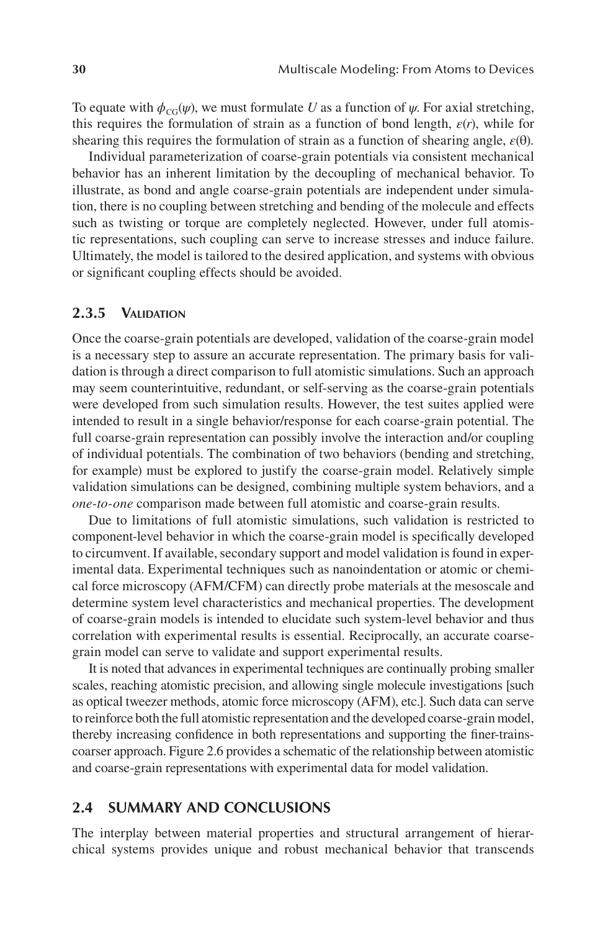<span id="page-17-0"></span>To equate with  $\phi_{\text{CG}}(\psi)$ , we must formulate *U* as a function of  $\psi$ . For axial stretching, this requires the formulation of strain as a function of bond length,  $\varepsilon(r)$ , while for shearing this requires the formulation of strain as a function of shearing angle,  $\varepsilon(\theta)$ .

Individual parameterization of coarse-grain potentials via consistent mechanical behavior has an inherent limitation by the decoupling of mechanical behavior. To illustrate, as bond and angle coarse-grain potentials are independent under simulation, there is no coupling between stretching and bending of the molecule and effects such as twisting or torque are completely neglected. However, under full atomistic representations, such coupling can serve to increase stresses and induce failure. Ultimately, the model is tailored to the desired application, and systems with obvious or significant coupling effects should be avoided.

#### **[2.3.5 Validation](#page-0-0)**

Once the coarse-grain potentials are developed, validation of the coarse-grain model is a necessary step to assure an accurate representation. The primary basis for validation is through a direct comparison to full atomistic simulations. Such an approach may seem counterintuitive, redundant, or self-serving as the coarse-grain potentials were developed from such simulation results. However, the test suites applied were intended to result in a single behavior/response for each coarse-grain potential. The full coarse-grain representation can possibly involve the interaction and/or coupling of individual potentials. The combination of two behaviors (bending and stretching, for example) must be explored to justify the coarse-grain model. Relatively simple validation simulations can be designed, combining multiple system behaviors, and a *one-to-one* comparison made between full atomistic and coarse-grain results.

Due to limitations of full atomistic simulations, such validation is restricted to component-level behavior in which the coarse-grain model is specifically developed to circumvent. If available, secondary support and model validation is found in experimental data. Experimental techniques such as nanoindentation or atomic or chemical force microscopy (AFM/CFM) can directly probe materials at the mesoscale and determine system level characteristics and mechanical properties. The development of coarse-grain models is intended to elucidate such system-level behavior and thus correlation with experimental results is essential. Reciprocally, an accurate coarsegrain model can serve to validate and support experimental results.

It is noted that advances in experimental techniques are continually probing smaller scales, reaching atomistic precision, and allowing single molecule investigations [such as optical tweezer methods, atomic force microscopy (AFM), etc.]. Such data can serve to reinforce both the full atomistic representation and the developed coarse-grain model, thereby increasing confidence in both representations and supporting the finer-trainscoarser approach. Figure 2.6 provides a schematic of the relationship between atomistic and coarse-grain representations with experimental data for model validation.

#### **[2.4 Summary and Conclusions](#page-0-0)**

The interplay between material properties and structural arrangement of hierarchical systems provides unique and robust mechanical behavior that transcends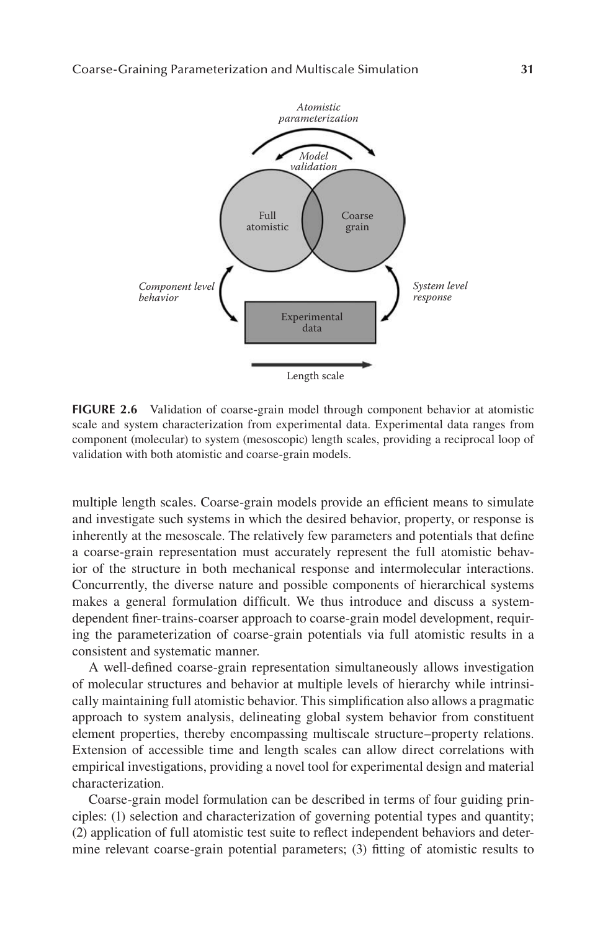

**FIGURE 2.6** Validation of coarse-grain model through component behavior at atomistic scale and system characterization from experimental data. Experimental data ranges from component (molecular) to system (mesoscopic) length scales, providing a reciprocal loop of validation with both atomistic and coarse-grain models.

multiple length scales. Coarse-grain models provide an efficient means to simulate and investigate such systems in which the desired behavior, property, or response is inherently at the mesoscale. The relatively few parameters and potentials that define a coarse-grain representation must accurately represent the full atomistic behavior of the structure in both mechanical response and intermolecular interactions. Concurrently, the diverse nature and possible components of hierarchical systems makes a general formulation difficult. We thus introduce and discuss a systemdependent finer-trains-coarser approach to coarse-grain model development, requiring the parameterization of coarse-grain potentials via full atomistic results in a consistent and systematic manner.

A well-defined coarse-grain representation simultaneously allows investigation of molecular structures and behavior at multiple levels of hierarchy while intrinsically maintaining full atomistic behavior. This simplification also allows a pragmatic approach to system analysis, delineating global system behavior from constituent element properties, thereby encompassing multiscale structure–property relations. Extension of accessible time and length scales can allow direct correlations with empirical investigations, providing a novel tool for experimental design and material characterization.

Coarse-grain model formulation can be described in terms of four guiding principles: (1) selection and characterization of governing potential types and quantity; (2) application of full atomistic test suite to reflect independent behaviors and determine relevant coarse-grain potential parameters; (3) fitting of atomistic results to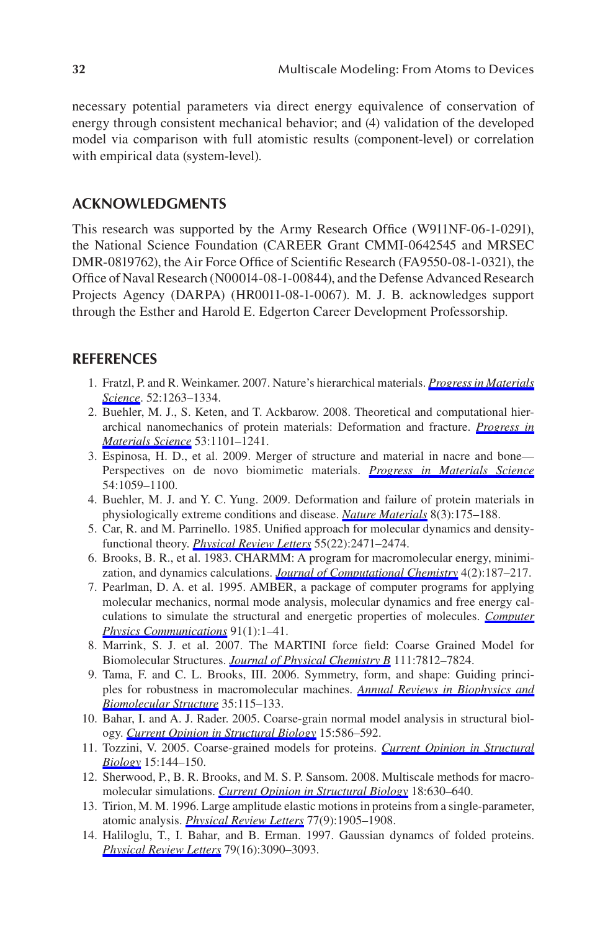<span id="page-19-0"></span>necessary potential parameters via direct energy equivalence of conservation of energy through consistent mechanical behavior; and (4) validation of the developed model via comparison with full atomistic results (component-level) or correlation with empirical data (system-level).

## **[Acknowledgments](#page-0-0)**

This research was supported by the Army Research Office (W911NF-06-1-0291), the National Science Foundation (CAREER Grant CMMI-0642545 and MRSEC DMR-0819762), the Air Force Office of Scientific Research (FA9550-08-1-0321), the Office of Naval Research (N00014-08-1-00844), and the Defense Advanced Research Projects Agency (DARPA) (HR0011-08-1-0067). M. J. B. acknowledges support through the Esther and Harold E. Edgerton Career Development Professorship.

## **[References](#page-0-0)**

- 1. Fratzl, P. and R. Weinkamer. 2007. Nature's hierarchical materials. *Progress in Materials Science*. 52:1263–1334.
- 2. Buehler, M. J., S. Keten, and T. Ackbarow. 2008. Theoretical and computational hierarchical nanomechanics of protein materials: Deformation and fracture. *Progress in Materials Science* 53:1101–1241.
- 3. Espinosa, H. D., et al. 2009. Merger of structure and material in nacre and bone— Perspectives on de novo biomimetic materials. *Progress in Materials Science* 54:1059–1100.
- 4. Buehler, M. J. and Y. C. Yung. 2009. Deformation and failure of protein materials in physiologically extreme conditions and disease. *Nature Materials* 8(3):175–188.
- 5. Car, R. and M. Parrinello. 1985. Unified approach for molecular dynamics and densityfunctional theory. *Physical Review Letters* 55(22):2471–2474.
- 6. Brooks, B. R., et al. 1983. CHARMM: A program for macromolecular energy, minimization, and dynamics calculations. *Journal of Computational Chemistry* 4(2):187–217.
- 7. Pearlman, D. A. et al. 1995. AMBER, a package of computer programs for applying molecular mechanics, normal mode analysis, molecular dynamics and free energy calculations to simulate the structural and energetic properties of molecules. *Computer Physics Communications* 91(1):1–41.
- 8. Marrink, S. J. et al. 2007. The MARTINI force field: Coarse Grained Model for Biomolecular Structures. *Journal of Physical Chemistry B* 111:7812–7824.
- 9. Tama, F. and C. L. Brooks, III. 2006. Symmetry, form, and shape: Guiding principles for robustness in macromolecular machines. *Annual Reviews in Biophysics and Biomolecular Structure* 35:115–133.
- 10. Bahar, I. and A. J. Rader. 2005. Coarse-grain normal model analysis in structural biology. *Current Opinion in Structural Biology* 15:586–592.
- 11. Tozzini, V. 2005. Coarse-grained models for proteins. *Current Opinion in Structural Biology* 15:144–150.
- 12. Sherwood, P., B. R. Brooks, and M. S. P. Sansom. 2008. Multiscale methods for macromolecular simulations. *Current Opinion in Structural Biology* 18:630–640.
- 13. Tirion, M. M. 1996. Large amplitude elastic motions in proteins from a single-parameter, atomic analysis. *Physical Review Letters* 77(9):1905–1908.
- 14. Haliloglu, T., I. Bahar, and B. Erman. 1997. Gaussian dynamcs of folded proteins. *Physical Review Letters* 79(16):3090–3093.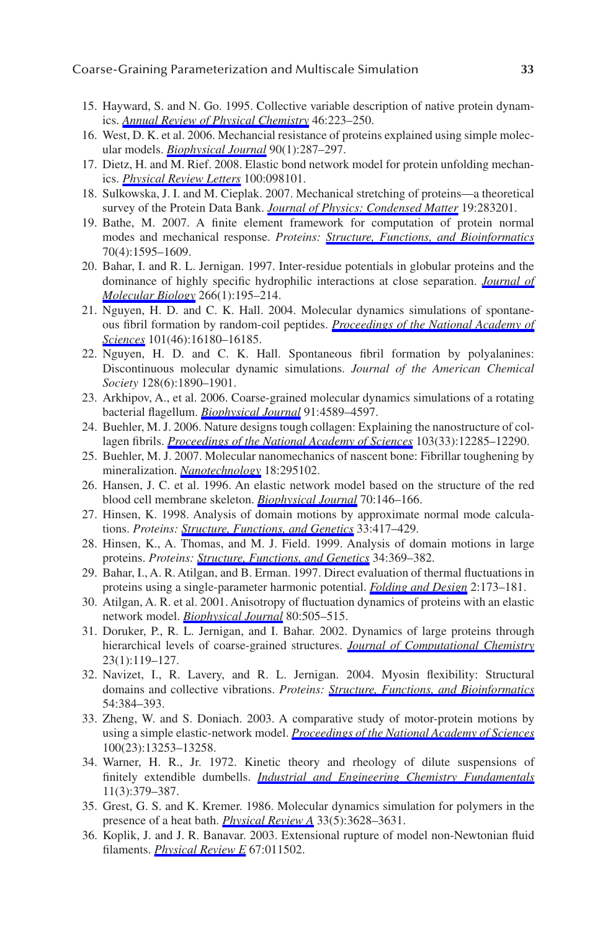- 15. Hayward, S. and N. Go. 1995. Collective variable description of native protein dynamics. *Annual Review of Physical Chemistry* 46:223–250.
- 16. West, D. K. et al. 2006. Mechancial resistance of proteins explained using simple molecular models. *Biophysical Journal* 90(1):287–297.
- 17. Dietz, H. and M. Rief. 2008. Elastic bond network model for protein unfolding mechanics. *Physical Review Letters* 100:098101.
- 18. Sulkowska, J. I. and M. Cieplak. 2007. Mechanical stretching of proteins—a theoretical survey of the Protein Data Bank. *Journal of Physics: Condensed Matter* 19:283201.
- 19. Bathe, M. 2007. A finite element framework for computation of protein normal modes and mechanical response. *Proteins: Structure, Functions, and Bioinformatics* 70(4):1595–1609.
- 20. Bahar, I. and R. L. Jernigan. 1997. Inter-residue potentials in globular proteins and the dominance of highly specific hydrophilic interactions at close separation. *Journal of Molecular Biology* 266(1):195–214.
- 21. Nguyen, H. D. and C. K. Hall. 2004. Molecular dynamics simulations of spontaneous fibril formation by random-coil peptides. *Proceedings of the National Academy of Sciences* 101(46):16180–16185.
- 22. Nguyen, H. D. and C. K. Hall. Spontaneous fibril formation by polyalanines: Discontinuous molecular dynamic simulations. *Journal of the American Chemical Society* 128(6):1890–1901.
- 23. Arkhipov, A., et al. 2006. Coarse-grained molecular dynamics simulations of a rotating bacterial flagellum. *Biophysical Journal* 91:4589–4597.
- 24. Buehler, M. J. 2006. Nature designs tough collagen: Explaining the nanostructure of collagen fibrils. *Proceedings of the National Academy of Sciences* 103(33):12285–12290.
- 25. Buehler, M. J. 2007. Molecular nanomechanics of nascent bone: Fibrillar toughening by mineralization. *Nanotechnology* 18:295102.
- 26. Hansen, J. C. et al. 1996. An elastic network model based on the structure of the red blood cell membrane skeleton. *Biophysical Journal* 70:146–166.
- 27. Hinsen, K. 1998. Analysis of domain motions by approximate normal mode calculations. *Proteins: Structure, Functions, and Genetics* 33:417–429.
- 28. Hinsen, K., A. Thomas, and M. J. Field. 1999. Analysis of domain motions in large proteins. *Proteins: Structure, Functions, and Genetics* 34:369–382.
- 29. Bahar, I., A. R. Atilgan, and B. Erman. 1997. Direct evaluation of thermal fluctuations in proteins using a single-parameter harmonic potential. *Folding and Design* 2:173–181.
- 30. Atilgan, A. R. et al. 2001. Anisotropy of fluctuation dynamics of proteins with an elastic network model. *Biophysical Journal* 80:505–515.
- 31. Doruker, P., R. L. Jernigan, and I. Bahar. 2002. Dynamics of large proteins through hierarchical levels of coarse-grained structures. *Journal of Computational Chemistry* 23(1):119–127.
- 32. Navizet, I., R. Lavery, and R. L. Jernigan. 2004. Myosin flexibility: Structural domains and collective vibrations. *Proteins: Structure, Functions, and Bioinformatics* 54:384–393.
- 33. Zheng, W. and S. Doniach. 2003. A comparative study of motor-protein motions by using a simple elastic-network model. *Proceedings of the National Academy of Sciences* 100(23):13253–13258.
- 34. Warner, H. R., Jr. 1972. Kinetic theory and rheology of dilute suspensions of finitely extendible dumbells. *Industrial and Engineering Chemistry Fundamentals* 11(3):379–387.
- 35. Grest, G. S. and K. Kremer. 1986. Molecular dynamics simulation for polymers in the presence of a heat bath. *Physical Review A* 33(5):3628–3631.
- 36. Koplik, J. and J. R. Banavar. 2003. Extensional rupture of model non-Newtonian fluid filaments. *Physical Review E* 67:011502.